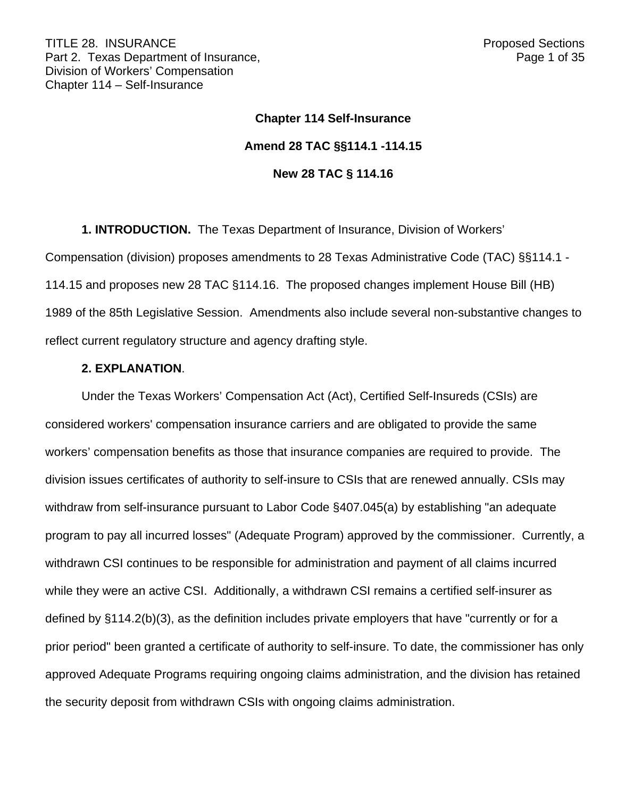# **Chapter 114 Self-Insurance Amend 28 TAC §§114.1 -114.15 New 28 TAC § 114.16**

**1. INTRODUCTION.** The Texas Department of Insurance, Division of Workers' Compensation (division) proposes amendments to 28 Texas Administrative Code (TAC) §§114.1 - 114.15 and proposes new 28 TAC §114.16. The proposed changes implement House Bill (HB) 1989 of the 85th Legislative Session. Amendments also include several non-substantive changes to reflect current regulatory structure and agency drafting style.

#### **2. EXPLANATION**.

Under the Texas Workers' Compensation Act (Act), Certified Self-Insureds (CSIs) are considered workers' compensation insurance carriers and are obligated to provide the same workers' compensation benefits as those that insurance companies are required to provide. The division issues certificates of authority to self-insure to CSIs that are renewed annually. CSIs may withdraw from self-insurance pursuant to Labor Code §407.045(a) by establishing "an adequate program to pay all incurred losses" (Adequate Program) approved by the commissioner. Currently, a withdrawn CSI continues to be responsible for administration and payment of all claims incurred while they were an active CSI. Additionally, a withdrawn CSI remains a certified self-insurer as defined by §114.2(b)(3), as the definition includes private employers that have "currently or for a prior period" been granted a certificate of authority to self-insure. To date, the commissioner has only approved Adequate Programs requiring ongoing claims administration, and the division has retained the security deposit from withdrawn CSIs with ongoing claims administration.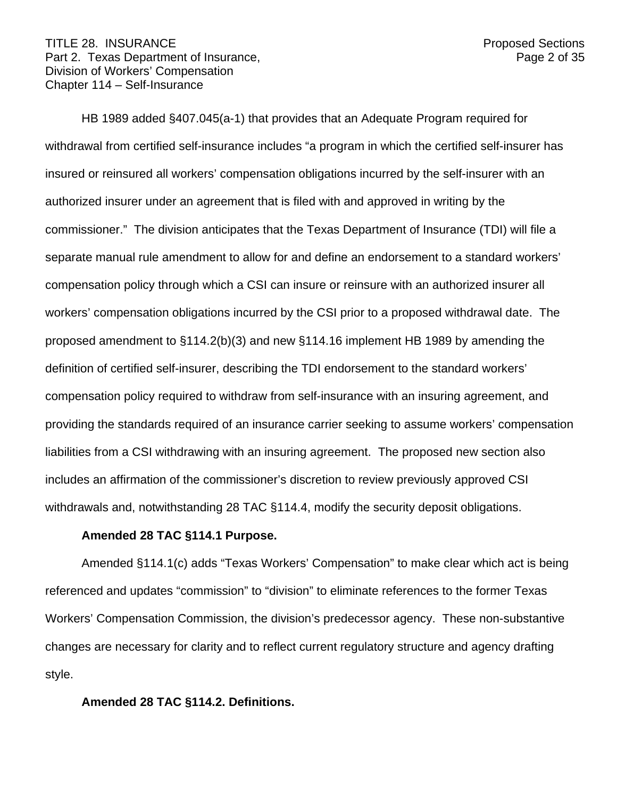#### TITLE 28. INSURANCE **Proposed Sections** Part 2. Texas Department of Insurance, Part 2. Texas 2 of 35 Division of Workers' Compensation Chapter 114 – Self-Insurance

HB 1989 added §407.045(a-1) that provides that an Adequate Program required for withdrawal from certified self-insurance includes "a program in which the certified self-insurer has insured or reinsured all workers' compensation obligations incurred by the self-insurer with an authorized insurer under an agreement that is filed with and approved in writing by the commissioner." The division anticipates that the Texas Department of Insurance (TDI) will file a separate manual rule amendment to allow for and define an endorsement to a standard workers' compensation policy through which a CSI can insure or reinsure with an authorized insurer all workers' compensation obligations incurred by the CSI prior to a proposed withdrawal date. The proposed amendment to §114.2(b)(3) and new §114.16 implement HB 1989 by amending the definition of certified self-insurer, describing the TDI endorsement to the standard workers' compensation policy required to withdraw from self-insurance with an insuring agreement, and providing the standards required of an insurance carrier seeking to assume workers' compensation liabilities from a CSI withdrawing with an insuring agreement. The proposed new section also includes an affirmation of the commissioner's discretion to review previously approved CSI withdrawals and, notwithstanding 28 TAC §114.4, modify the security deposit obligations.

#### **Amended 28 TAC §114.1 Purpose.**

Amended §114.1(c) adds "Texas Workers' Compensation" to make clear which act is being referenced and updates "commission" to "division" to eliminate references to the former Texas Workers' Compensation Commission, the division's predecessor agency. These non-substantive changes are necessary for clarity and to reflect current regulatory structure and agency drafting style.

## **Amended 28 TAC §114.2. Definitions.**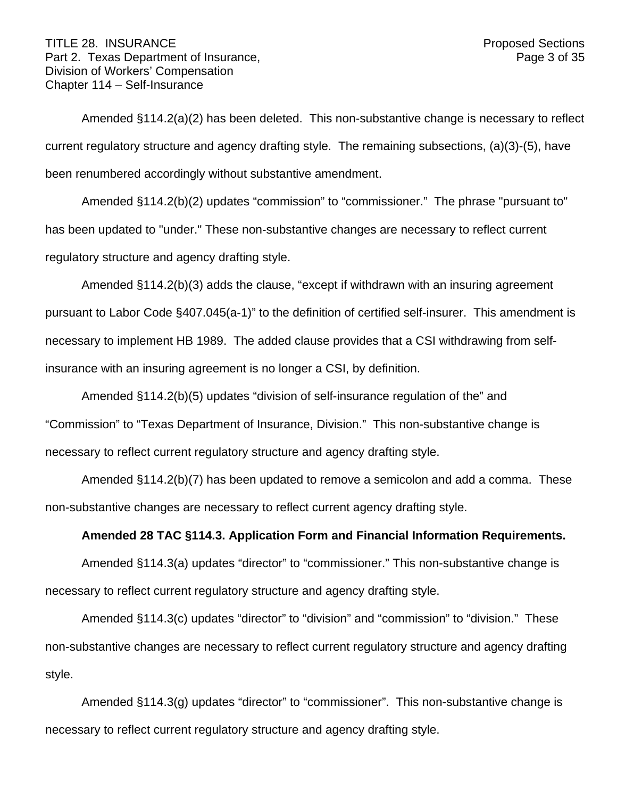#### TITLE 28. INSURANCE **Proposed Sections** Part 2. Texas Department of Insurance, Part 2. Texas 3 of 35 Division of Workers' Compensation Chapter 114 – Self-Insurance

Amended §114.2(a)(2) has been deleted. This non-substantive change is necessary to reflect current regulatory structure and agency drafting style. The remaining subsections, (a)(3)-(5), have been renumbered accordingly without substantive amendment.

Amended §114.2(b)(2) updates "commission" to "commissioner." The phrase "pursuant to" has been updated to "under." These non-substantive changes are necessary to reflect current regulatory structure and agency drafting style.

Amended §114.2(b)(3) adds the clause, "except if withdrawn with an insuring agreement pursuant to Labor Code §407.045(a-1)" to the definition of certified self-insurer. This amendment is necessary to implement HB 1989. The added clause provides that a CSI withdrawing from selfinsurance with an insuring agreement is no longer a CSI, by definition.

Amended §114.2(b)(5) updates "division of self-insurance regulation of the" and "Commission" to "Texas Department of Insurance, Division." This non-substantive change is necessary to reflect current regulatory structure and agency drafting style.

Amended §114.2(b)(7) has been updated to remove a semicolon and add a comma. These non-substantive changes are necessary to reflect current agency drafting style.

## **Amended 28 TAC §114.3. Application Form and Financial Information Requirements.**

Amended §114.3(a) updates "director" to "commissioner." This non-substantive change is necessary to reflect current regulatory structure and agency drafting style.

Amended §114.3(c) updates "director" to "division" and "commission" to "division." These non-substantive changes are necessary to reflect current regulatory structure and agency drafting style.

Amended §114.3(g) updates "director" to "commissioner". This non-substantive change is necessary to reflect current regulatory structure and agency drafting style.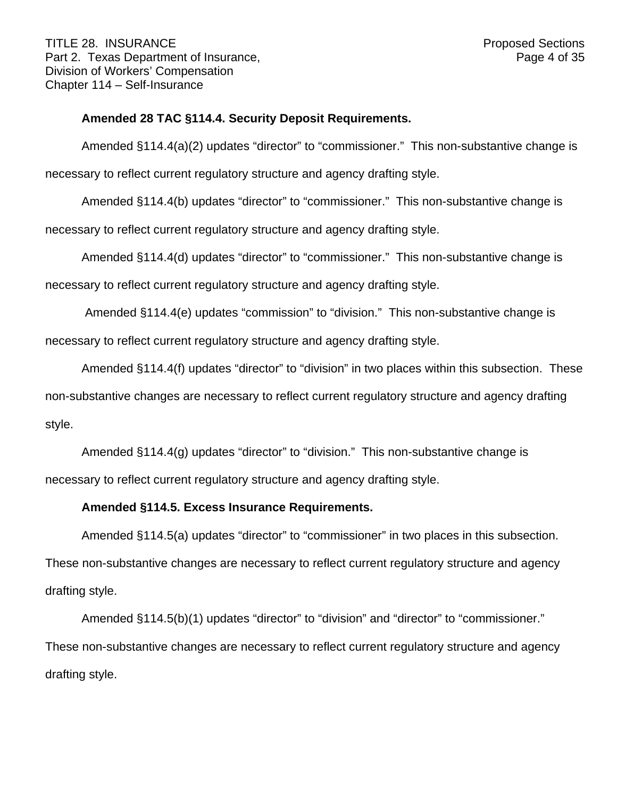### **Amended 28 TAC §114.4. Security Deposit Requirements.**

Amended §114.4(a)(2) updates "director" to "commissioner." This non-substantive change is necessary to reflect current regulatory structure and agency drafting style.

Amended §114.4(b) updates "director" to "commissioner." This non-substantive change is

necessary to reflect current regulatory structure and agency drafting style.

Amended §114.4(d) updates "director" to "commissioner." This non-substantive change is

necessary to reflect current regulatory structure and agency drafting style.

Amended §114.4(e) updates "commission" to "division." This non-substantive change is necessary to reflect current regulatory structure and agency drafting style.

Amended §114.4(f) updates "director" to "division" in two places within this subsection. These

non-substantive changes are necessary to reflect current regulatory structure and agency drafting style.

Amended §114.4(g) updates "director" to "division." This non-substantive change is necessary to reflect current regulatory structure and agency drafting style.

#### **Amended §114.5. Excess Insurance Requirements.**

Amended §114.5(a) updates "director" to "commissioner" in two places in this subsection.

These non-substantive changes are necessary to reflect current regulatory structure and agency drafting style.

Amended §114.5(b)(1) updates "director" to "division" and "director" to "commissioner." These non-substantive changes are necessary to reflect current regulatory structure and agency drafting style.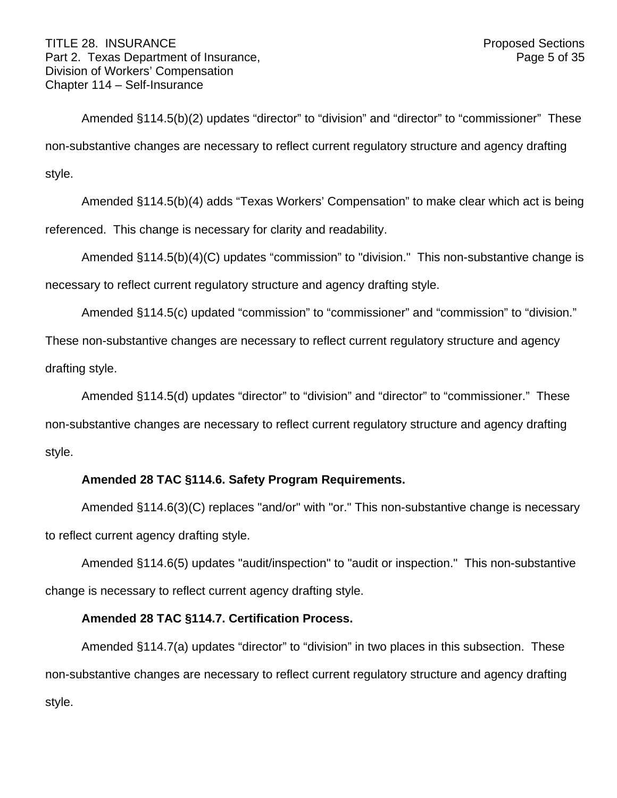Amended §114.5(b)(2) updates "director" to "division" and "director" to "commissioner" These non-substantive changes are necessary to reflect current regulatory structure and agency drafting style.

Amended §114.5(b)(4) adds "Texas Workers' Compensation" to make clear which act is being referenced. This change is necessary for clarity and readability.

Amended §114.5(b)(4)(C) updates "commission" to "division." This non-substantive change is necessary to reflect current regulatory structure and agency drafting style.

Amended §114.5(c) updated "commission" to "commissioner" and "commission" to "division." These non-substantive changes are necessary to reflect current regulatory structure and agency

drafting style.

Amended §114.5(d) updates "director" to "division" and "director" to "commissioner." These non-substantive changes are necessary to reflect current regulatory structure and agency drafting style.

# **Amended 28 TAC §114.6. Safety Program Requirements.**

Amended §114.6(3)(C) replaces "and/or" with "or." This non-substantive change is necessary to reflect current agency drafting style.

Amended §114.6(5) updates "audit/inspection" to "audit or inspection." This non-substantive change is necessary to reflect current agency drafting style.

# **Amended 28 TAC §114.7. Certification Process.**

Amended §114.7(a) updates "director" to "division" in two places in this subsection. These non-substantive changes are necessary to reflect current regulatory structure and agency drafting style.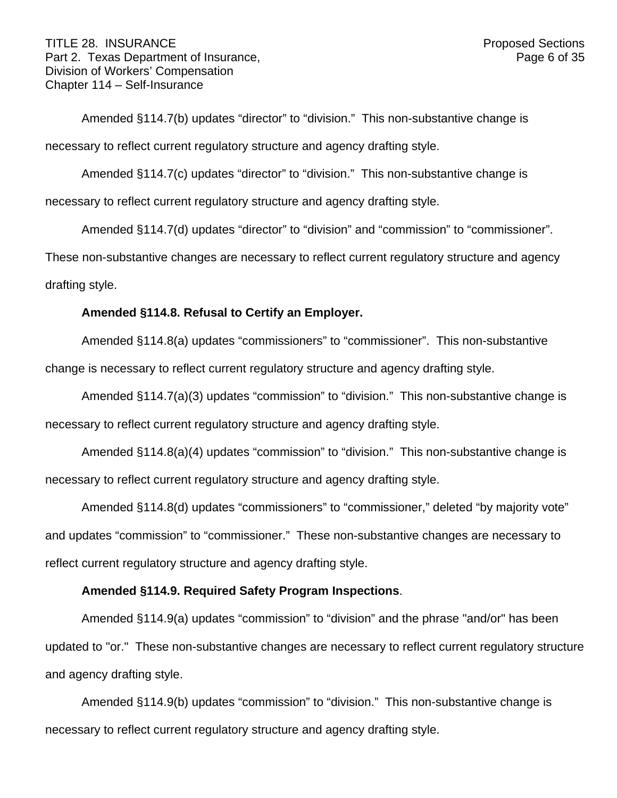#### TITLE 28. INSURANCE **Proposed Sections** Part 2. Texas Department of Insurance, Part 2. Texas 6 of 35 Division of Workers' Compensation Chapter 114 – Self-Insurance

Amended §114.7(b) updates "director" to "division." This non-substantive change is necessary to reflect current regulatory structure and agency drafting style.

Amended §114.7(c) updates "director" to "division." This non-substantive change is necessary to reflect current regulatory structure and agency drafting style.

Amended §114.7(d) updates "director" to "division" and "commission" to "commissioner".

These non-substantive changes are necessary to reflect current regulatory structure and agency drafting style.

## **Amended §114.8. Refusal to Certify an Employer.**

Amended §114.8(a) updates "commissioners" to "commissioner". This non-substantive change is necessary to reflect current regulatory structure and agency drafting style.

Amended §114.7(a)(3) updates "commission" to "division." This non-substantive change is necessary to reflect current regulatory structure and agency drafting style.

Amended §114.8(a)(4) updates "commission" to "division." This non-substantive change is necessary to reflect current regulatory structure and agency drafting style.

Amended §114.8(d) updates "commissioners" to "commissioner," deleted "by majority vote" and updates "commission" to "commissioner." These non-substantive changes are necessary to reflect current regulatory structure and agency drafting style.

# **Amended §114.9. Required Safety Program Inspections**.

Amended §114.9(a) updates "commission" to "division" and the phrase "and/or" has been updated to "or." These non-substantive changes are necessary to reflect current regulatory structure and agency drafting style.

Amended §114.9(b) updates "commission" to "division." This non-substantive change is necessary to reflect current regulatory structure and agency drafting style.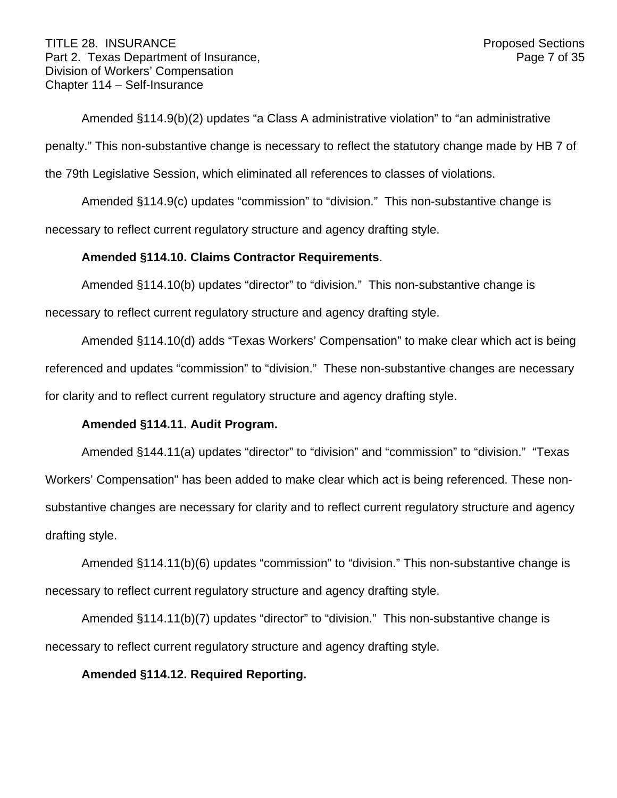#### TITLE 28. INSURANCE **Proposed Sections** Part 2. Texas Department of Insurance, Part 2. Texas Page 7 of 35 Division of Workers' Compensation Chapter 114 – Self-Insurance

Amended §114.9(b)(2) updates "a Class A administrative violation" to "an administrative penalty." This non-substantive change is necessary to reflect the statutory change made by HB 7 of the 79th Legislative Session, which eliminated all references to classes of violations.

Amended §114.9(c) updates "commission" to "division." This non-substantive change is necessary to reflect current regulatory structure and agency drafting style.

## **Amended §114.10. Claims Contractor Requirements**.

Amended §114.10(b) updates "director" to "division." This non-substantive change is

necessary to reflect current regulatory structure and agency drafting style.

Amended §114.10(d) adds "Texas Workers' Compensation" to make clear which act is being referenced and updates "commission" to "division." These non-substantive changes are necessary for clarity and to reflect current regulatory structure and agency drafting style.

# **Amended §114.11. Audit Program.**

Amended §144.11(a) updates "director" to "division" and "commission" to "division." "Texas Workers' Compensation" has been added to make clear which act is being referenced. These nonsubstantive changes are necessary for clarity and to reflect current regulatory structure and agency drafting style.

Amended §114.11(b)(6) updates "commission" to "division." This non-substantive change is necessary to reflect current regulatory structure and agency drafting style.

Amended §114.11(b)(7) updates "director" to "division." This non-substantive change is necessary to reflect current regulatory structure and agency drafting style.

## **Amended §114.12. Required Reporting.**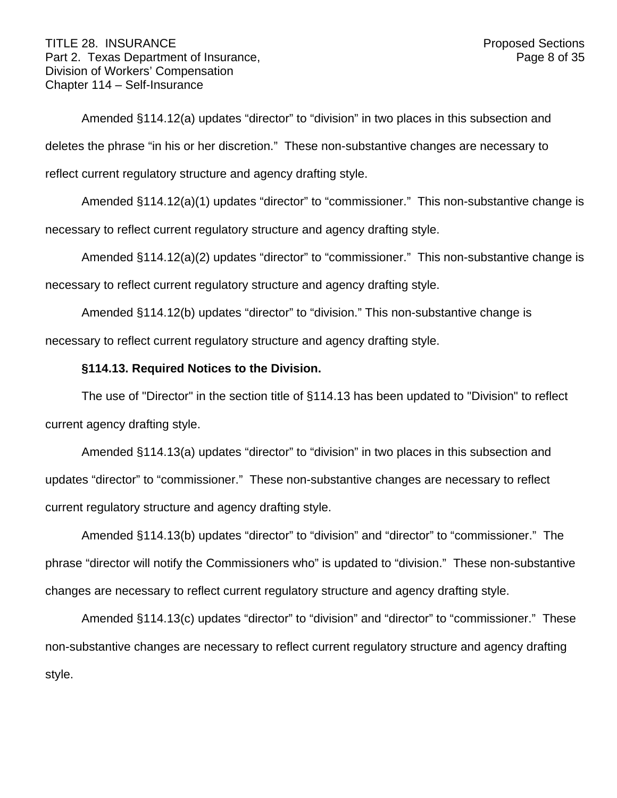Amended §114.12(a) updates "director" to "division" in two places in this subsection and deletes the phrase "in his or her discretion." These non-substantive changes are necessary to reflect current regulatory structure and agency drafting style.

Amended §114.12(a)(1) updates "director" to "commissioner." This non-substantive change is necessary to reflect current regulatory structure and agency drafting style.

Amended §114.12(a)(2) updates "director" to "commissioner." This non-substantive change is necessary to reflect current regulatory structure and agency drafting style.

Amended §114.12(b) updates "director" to "division." This non-substantive change is necessary to reflect current regulatory structure and agency drafting style.

# **§114.13. Required Notices to the Division.**

The use of "Director" in the section title of §114.13 has been updated to "Division" to reflect current agency drafting style.

Amended §114.13(a) updates "director" to "division" in two places in this subsection and updates "director" to "commissioner." These non-substantive changes are necessary to reflect current regulatory structure and agency drafting style.

Amended §114.13(b) updates "director" to "division" and "director" to "commissioner." The phrase "director will notify the Commissioners who" is updated to "division." These non-substantive changes are necessary to reflect current regulatory structure and agency drafting style.

Amended §114.13(c) updates "director" to "division" and "director" to "commissioner." These non-substantive changes are necessary to reflect current regulatory structure and agency drafting style.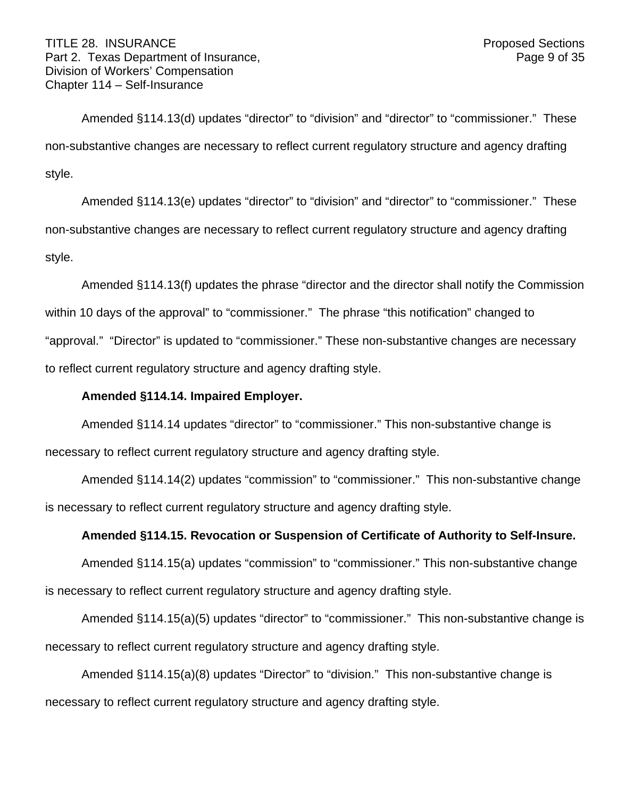Amended §114.13(d) updates "director" to "division" and "director" to "commissioner." These non-substantive changes are necessary to reflect current regulatory structure and agency drafting style.

Amended §114.13(e) updates "director" to "division" and "director" to "commissioner." These non-substantive changes are necessary to reflect current regulatory structure and agency drafting style.

Amended §114.13(f) updates the phrase "director and the director shall notify the Commission within 10 days of the approval" to "commissioner." The phrase "this notification" changed to "approval." "Director" is updated to "commissioner." These non-substantive changes are necessary to reflect current regulatory structure and agency drafting style.

## **Amended §114.14. Impaired Employer.**

Amended §114.14 updates "director" to "commissioner." This non-substantive change is necessary to reflect current regulatory structure and agency drafting style.

Amended §114.14(2) updates "commission" to "commissioner." This non-substantive change is necessary to reflect current regulatory structure and agency drafting style.

## **Amended §114.15. Revocation or Suspension of Certificate of Authority to Self-Insure.**

Amended §114.15(a) updates "commission" to "commissioner." This non-substantive change is necessary to reflect current regulatory structure and agency drafting style.

Amended §114.15(a)(5) updates "director" to "commissioner." This non-substantive change is necessary to reflect current regulatory structure and agency drafting style.

Amended §114.15(a)(8) updates "Director" to "division." This non-substantive change is necessary to reflect current regulatory structure and agency drafting style.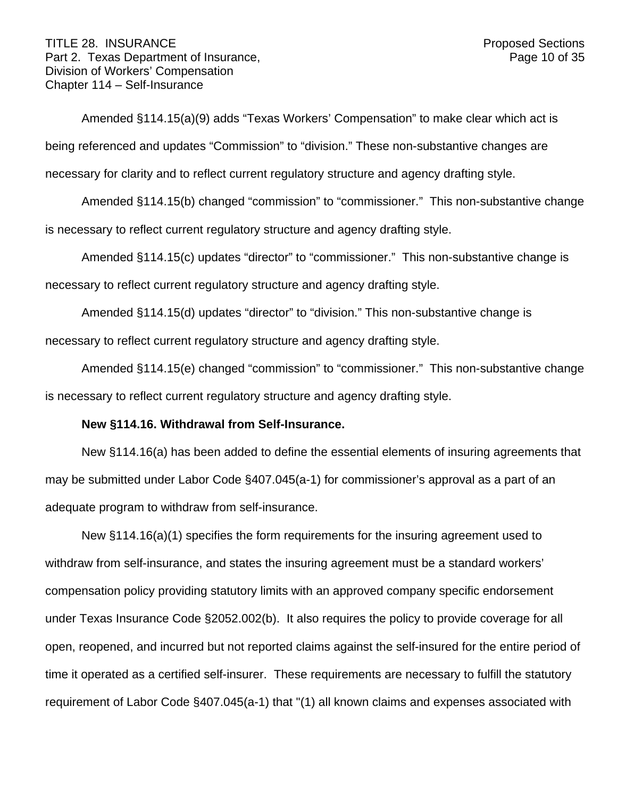#### TITLE 28. INSURANCE **Proposed Sections** Part 2. Texas Department of Insurance, Part 2. Texas 0.0 of 35 Division of Workers' Compensation Chapter 114 – Self-Insurance

Amended §114.15(a)(9) adds "Texas Workers' Compensation" to make clear which act is being referenced and updates "Commission" to "division." These non-substantive changes are necessary for clarity and to reflect current regulatory structure and agency drafting style.

Amended §114.15(b) changed "commission" to "commissioner." This non-substantive change is necessary to reflect current regulatory structure and agency drafting style.

Amended §114.15(c) updates "director" to "commissioner." This non-substantive change is necessary to reflect current regulatory structure and agency drafting style.

Amended §114.15(d) updates "director" to "division." This non-substantive change is necessary to reflect current regulatory structure and agency drafting style.

Amended §114.15(e) changed "commission" to "commissioner." This non-substantive change is necessary to reflect current regulatory structure and agency drafting style.

## **New §114.16. Withdrawal from Self-Insurance.**

New §114.16(a) has been added to define the essential elements of insuring agreements that may be submitted under Labor Code §407.045(a-1) for commissioner's approval as a part of an adequate program to withdraw from self-insurance.

New §114.16(a)(1) specifies the form requirements for the insuring agreement used to withdraw from self-insurance, and states the insuring agreement must be a standard workers' compensation policy providing statutory limits with an approved company specific endorsement under Texas Insurance Code §2052.002(b). It also requires the policy to provide coverage for all open, reopened, and incurred but not reported claims against the self-insured for the entire period of time it operated as a certified self-insurer. These requirements are necessary to fulfill the statutory requirement of Labor Code §407.045(a-1) that "(1) all known claims and expenses associated with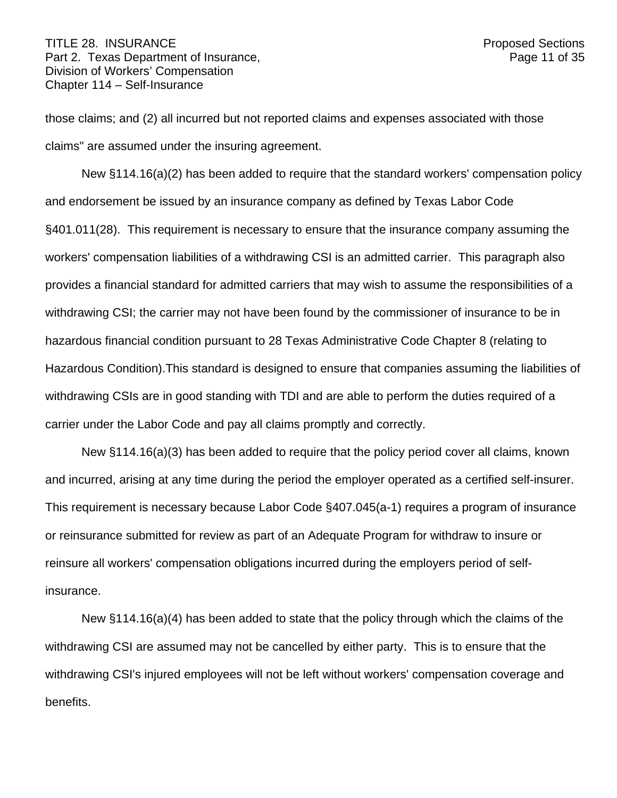those claims; and (2) all incurred but not reported claims and expenses associated with those claims" are assumed under the insuring agreement.

New §114.16(a)(2) has been added to require that the standard workers' compensation policy and endorsement be issued by an insurance company as defined by Texas Labor Code §401.011(28). This requirement is necessary to ensure that the insurance company assuming the workers' compensation liabilities of a withdrawing CSI is an admitted carrier. This paragraph also provides a financial standard for admitted carriers that may wish to assume the responsibilities of a withdrawing CSI; the carrier may not have been found by the commissioner of insurance to be in hazardous financial condition pursuant to 28 Texas Administrative Code Chapter 8 (relating to Hazardous Condition).This standard is designed to ensure that companies assuming the liabilities of withdrawing CSIs are in good standing with TDI and are able to perform the duties required of a carrier under the Labor Code and pay all claims promptly and correctly.

New §114.16(a)(3) has been added to require that the policy period cover all claims, known and incurred, arising at any time during the period the employer operated as a certified self-insurer. This requirement is necessary because Labor Code §407.045(a-1) requires a program of insurance or reinsurance submitted for review as part of an Adequate Program for withdraw to insure or reinsure all workers' compensation obligations incurred during the employers period of selfinsurance.

New §114.16(a)(4) has been added to state that the policy through which the claims of the withdrawing CSI are assumed may not be cancelled by either party. This is to ensure that the withdrawing CSI's injured employees will not be left without workers' compensation coverage and benefits.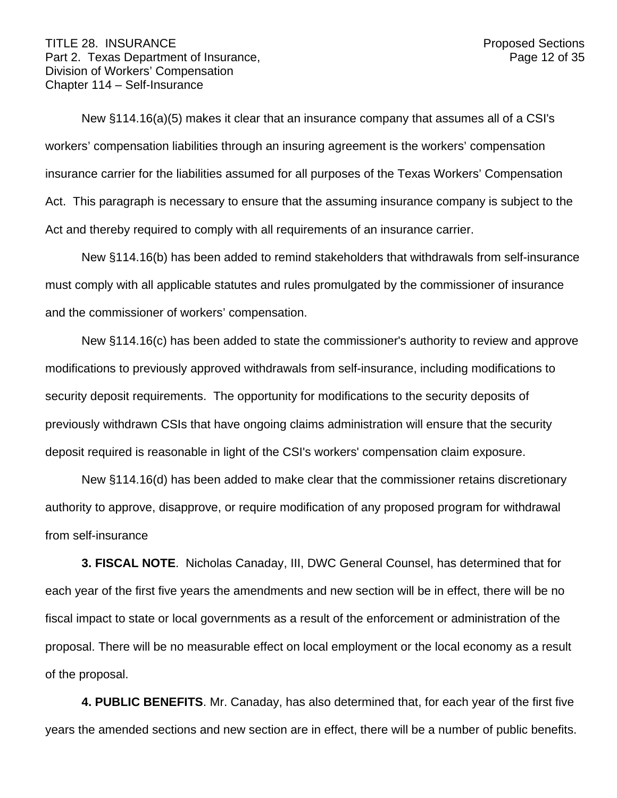New §114.16(a)(5) makes it clear that an insurance company that assumes all of a CSI's workers' compensation liabilities through an insuring agreement is the workers' compensation insurance carrier for the liabilities assumed for all purposes of the Texas Workers' Compensation Act. This paragraph is necessary to ensure that the assuming insurance company is subject to the Act and thereby required to comply with all requirements of an insurance carrier.

New §114.16(b) has been added to remind stakeholders that withdrawals from self-insurance must comply with all applicable statutes and rules promulgated by the commissioner of insurance and the commissioner of workers' compensation.

New §114.16(c) has been added to state the commissioner's authority to review and approve modifications to previously approved withdrawals from self-insurance, including modifications to security deposit requirements. The opportunity for modifications to the security deposits of previously withdrawn CSIs that have ongoing claims administration will ensure that the security deposit required is reasonable in light of the CSI's workers' compensation claim exposure.

New §114.16(d) has been added to make clear that the commissioner retains discretionary authority to approve, disapprove, or require modification of any proposed program for withdrawal from self-insurance

**3. FISCAL NOTE**. Nicholas Canaday, III, DWC General Counsel, has determined that for each year of the first five years the amendments and new section will be in effect, there will be no fiscal impact to state or local governments as a result of the enforcement or administration of the proposal. There will be no measurable effect on local employment or the local economy as a result of the proposal.

**4. PUBLIC BENEFITS**. Mr. Canaday, has also determined that, for each year of the first five years the amended sections and new section are in effect, there will be a number of public benefits.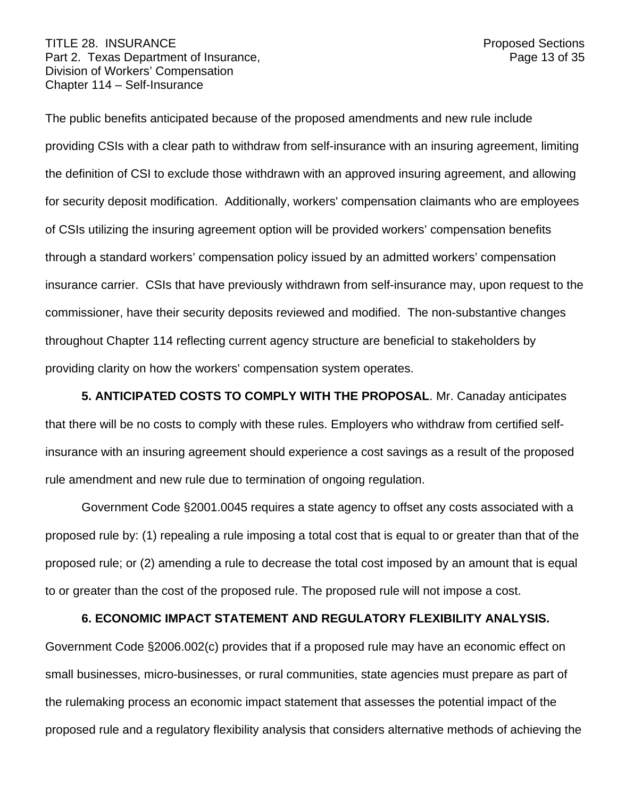The public benefits anticipated because of the proposed amendments and new rule include providing CSIs with a clear path to withdraw from self-insurance with an insuring agreement, limiting the definition of CSI to exclude those withdrawn with an approved insuring agreement, and allowing for security deposit modification. Additionally, workers' compensation claimants who are employees of CSIs utilizing the insuring agreement option will be provided workers' compensation benefits through a standard workers' compensation policy issued by an admitted workers' compensation insurance carrier. CSIs that have previously withdrawn from self-insurance may, upon request to the commissioner, have their security deposits reviewed and modified. The non-substantive changes throughout Chapter 114 reflecting current agency structure are beneficial to stakeholders by providing clarity on how the workers' compensation system operates.

**5. ANTICIPATED COSTS TO COMPLY WITH THE PROPOSAL**. Mr. Canaday anticipates that there will be no costs to comply with these rules. Employers who withdraw from certified selfinsurance with an insuring agreement should experience a cost savings as a result of the proposed rule amendment and new rule due to termination of ongoing regulation.

Government Code §2001.0045 requires a state agency to offset any costs associated with a proposed rule by: (1) repealing a rule imposing a total cost that is equal to or greater than that of the proposed rule; or (2) amending a rule to decrease the total cost imposed by an amount that is equal to or greater than the cost of the proposed rule. The proposed rule will not impose a cost.

#### **6. ECONOMIC IMPACT STATEMENT AND REGULATORY FLEXIBILITY ANALYSIS.**

Government Code §2006.002(c) provides that if a proposed rule may have an economic effect on small businesses, micro-businesses, or rural communities, state agencies must prepare as part of the rulemaking process an economic impact statement that assesses the potential impact of the proposed rule and a regulatory flexibility analysis that considers alternative methods of achieving the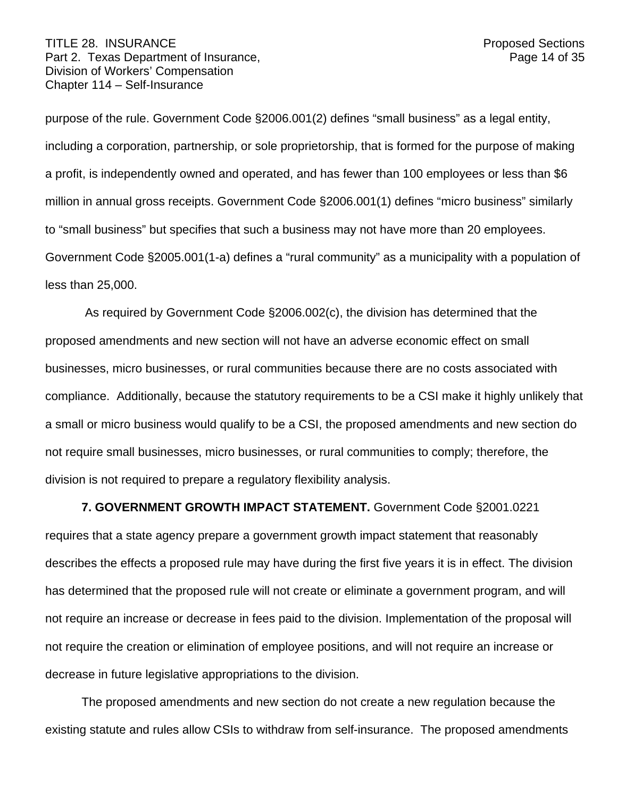#### TITLE 28. INSURANCE **Proposed Sections** Part 2. Texas Department of Insurance, Part 2. Texas 14 of 35 Division of Workers' Compensation Chapter 114 – Self-Insurance

purpose of the rule. Government Code §2006.001(2) defines "small business" as a legal entity, including a corporation, partnership, or sole proprietorship, that is formed for the purpose of making a profit, is independently owned and operated, and has fewer than 100 employees or less than \$6 million in annual gross receipts. Government Code §2006.001(1) defines "micro business" similarly to "small business" but specifies that such a business may not have more than 20 employees. Government Code §2005.001(1-a) defines a "rural community" as a municipality with a population of less than 25,000.

As required by Government Code §2006.002(c), the division has determined that the proposed amendments and new section will not have an adverse economic effect on small businesses, micro businesses, or rural communities because there are no costs associated with compliance. Additionally, because the statutory requirements to be a CSI make it highly unlikely that a small or micro business would qualify to be a CSI, the proposed amendments and new section do not require small businesses, micro businesses, or rural communities to comply; therefore, the division is not required to prepare a regulatory flexibility analysis.

#### **7. GOVERNMENT GROWTH IMPACT STATEMENT.** Government Code §2001.0221

requires that a state agency prepare a government growth impact statement that reasonably describes the effects a proposed rule may have during the first five years it is in effect. The division has determined that the proposed rule will not create or eliminate a government program, and will not require an increase or decrease in fees paid to the division. Implementation of the proposal will not require the creation or elimination of employee positions, and will not require an increase or decrease in future legislative appropriations to the division.

The proposed amendments and new section do not create a new regulation because the existing statute and rules allow CSIs to withdraw from self-insurance. The proposed amendments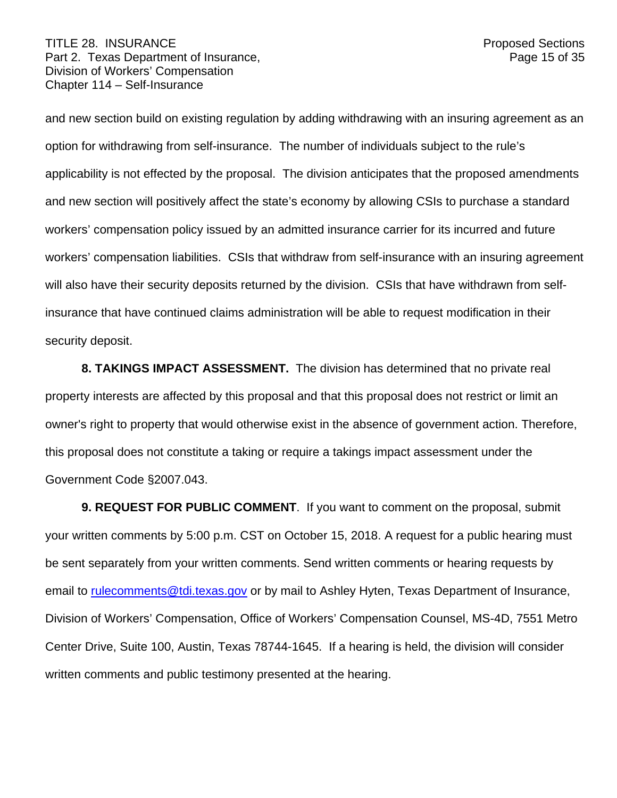#### TITLE 28. INSURANCE **Proposed Sections** Part 2. Texas Department of Insurance, Part 2. Texas Department of Insurance, Division of Workers' Compensation Chapter 114 – Self-Insurance

and new section build on existing regulation by adding withdrawing with an insuring agreement as an option for withdrawing from self-insurance. The number of individuals subject to the rule's applicability is not effected by the proposal. The division anticipates that the proposed amendments and new section will positively affect the state's economy by allowing CSIs to purchase a standard workers' compensation policy issued by an admitted insurance carrier for its incurred and future workers' compensation liabilities. CSIs that withdraw from self-insurance with an insuring agreement will also have their security deposits returned by the division. CSIs that have withdrawn from selfinsurance that have continued claims administration will be able to request modification in their security deposit.

**8. TAKINGS IMPACT ASSESSMENT.** The division has determined that no private real property interests are affected by this proposal and that this proposal does not restrict or limit an owner's right to property that would otherwise exist in the absence of government action. Therefore, this proposal does not constitute a taking or require a takings impact assessment under the Government Code §2007.043.

**9. REQUEST FOR PUBLIC COMMENT**. If you want to comment on the proposal, submit your written comments by 5:00 p.m. CST on October 15, 2018. A request for a public hearing must be sent separately from your written comments. Send written comments or hearing requests by email to [rulecomments@tdi.texas.gov](mailto:Rulecomments@tdi.texas.gov) or by mail to Ashley Hyten, Texas Department of Insurance, Division of Workers' Compensation, Office of Workers' Compensation Counsel, MS-4D, 7551 Metro Center Drive, Suite 100, Austin, Texas 78744-1645. If a hearing is held, the division will consider written comments and public testimony presented at the hearing.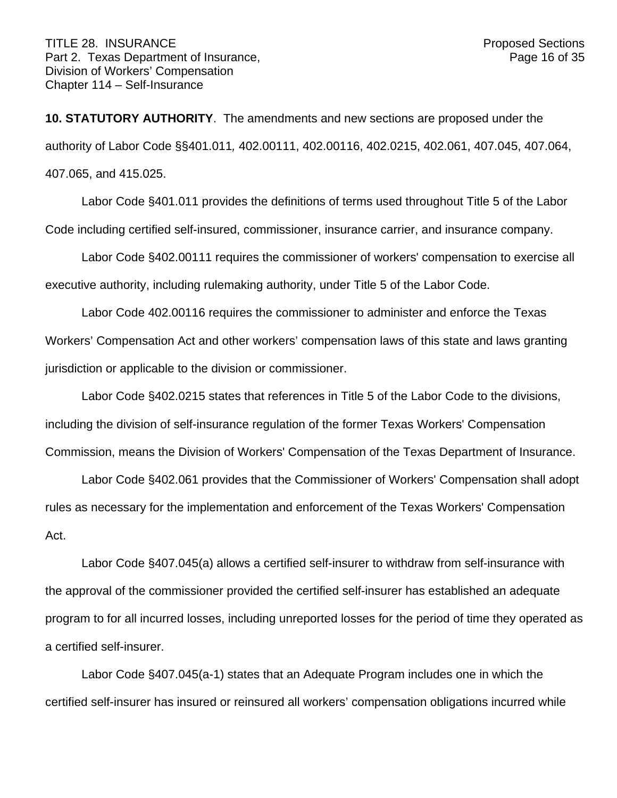**10. STATUTORY AUTHORITY**. The amendments and new sections are proposed under the authority of Labor Code §§401.011*,* 402.00111, 402.00116, 402.0215, 402.061, 407.045, 407.064, 407.065, and 415.025.

Labor Code §401.011 provides the definitions of terms used throughout Title 5 of the Labor Code including certified self-insured, commissioner, insurance carrier, and insurance company.

Labor Code §402.00111 requires the commissioner of workers' compensation to exercise all executive authority, including rulemaking authority, under Title 5 of the Labor Code.

Labor Code 402.00116 requires the commissioner to administer and enforce the Texas Workers' Compensation Act and other workers' compensation laws of this state and laws granting jurisdiction or applicable to the division or commissioner.

Labor Code §402.0215 states that references in Title 5 of the Labor Code to the divisions, including the division of self-insurance regulation of the former Texas Workers' Compensation Commission, means the Division of Workers' Compensation of the Texas Department of Insurance.

Labor Code §402.061 provides that the Commissioner of Workers' Compensation shall adopt rules as necessary for the implementation and enforcement of the Texas Workers' Compensation Act.

Labor Code §407.045(a) allows a certified self-insurer to withdraw from self-insurance with the approval of the commissioner provided the certified self-insurer has established an adequate program to for all incurred losses, including unreported losses for the period of time they operated as a certified self-insurer.

Labor Code §407.045(a-1) states that an Adequate Program includes one in which the certified self-insurer has insured or reinsured all workers' compensation obligations incurred while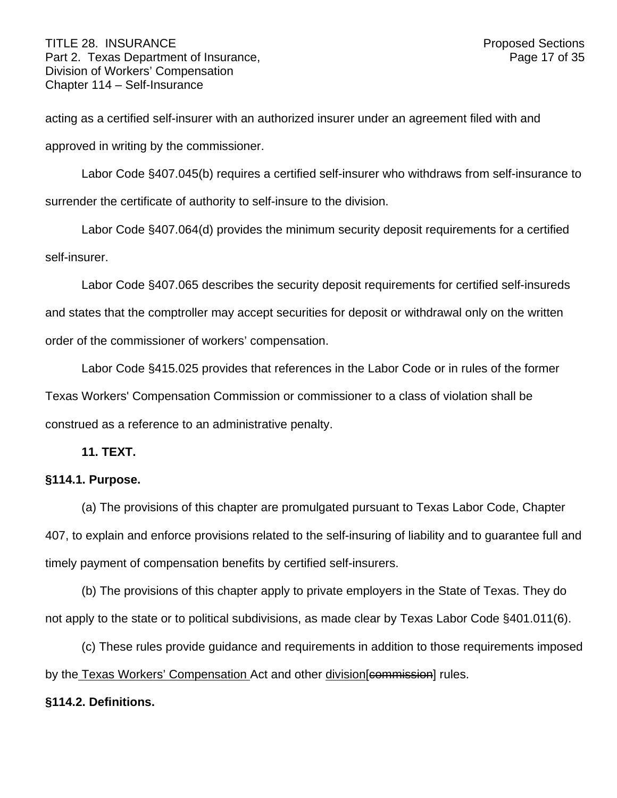acting as a certified self-insurer with an authorized insurer under an agreement filed with and approved in writing by the commissioner.

Labor Code §407.045(b) requires a certified self-insurer who withdraws from self-insurance to surrender the certificate of authority to self-insure to the division.

Labor Code §407.064(d) provides the minimum security deposit requirements for a certified self-insurer.

Labor Code §407.065 describes the security deposit requirements for certified self-insureds and states that the comptroller may accept securities for deposit or withdrawal only on the written order of the commissioner of workers' compensation.

Labor Code §415.025 provides that references in the Labor Code or in rules of the former Texas Workers' Compensation Commission or commissioner to a class of violation shall be construed as a reference to an administrative penalty.

**11. TEXT.**

# **§114.1. Purpose.**

(a) The provisions of this chapter are promulgated pursuant to Texas Labor Code, Chapter 407, to explain and enforce provisions related to the self-insuring of liability and to guarantee full and timely payment of compensation benefits by certified self-insurers.

(b) The provisions of this chapter apply to private employers in the State of Texas. They do not apply to the state or to political subdivisions, as made clear by Texas Labor Code §401.011(6).

(c) These rules provide guidance and requirements in addition to those requirements imposed by the Texas Workers' Compensation Act and other division[commission] rules.

## **§114.2. Definitions.**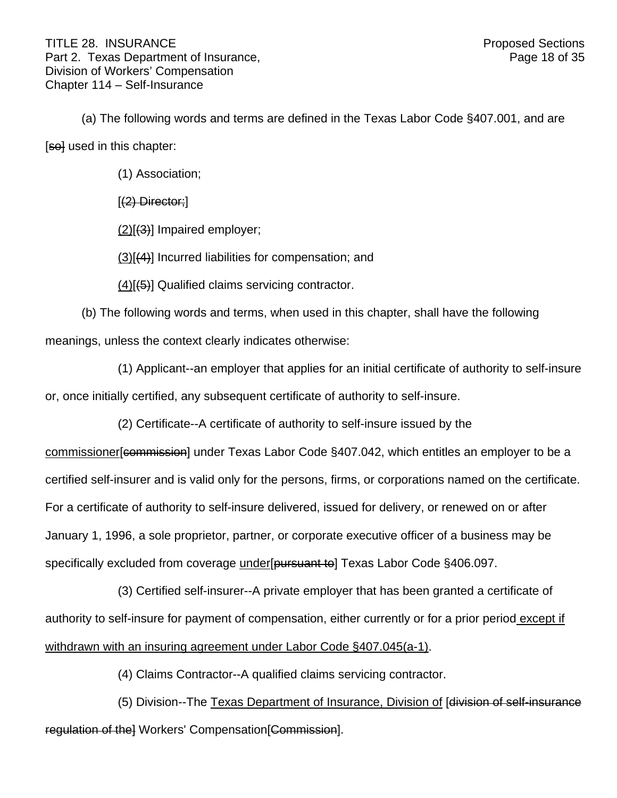(a) The following words and terms are defined in the Texas Labor Code §407.001, and are [so] used in this chapter:

(1) Association;

[(2) Director;]

(2)[(3)] Impaired employer;

(3)[(4)] Incurred liabilities for compensation; and

(4)[(5)] Qualified claims servicing contractor.

(b) The following words and terms, when used in this chapter, shall have the following meanings, unless the context clearly indicates otherwise:

(1) Applicant--an employer that applies for an initial certificate of authority to self-insure

or, once initially certified, any subsequent certificate of authority to self-insure.

(2) Certificate--A certificate of authority to self-insure issued by the

commissioner[commission] under Texas Labor Code §407.042, which entitles an employer to be a certified self-insurer and is valid only for the persons, firms, or corporations named on the certificate. For a certificate of authority to self-insure delivered, issued for delivery, or renewed on or after January 1, 1996, a sole proprietor, partner, or corporate executive officer of a business may be specifically excluded from coverage under [pursuant to] Texas Labor Code §406.097.

(3) Certified self-insurer--A private employer that has been granted a certificate of authority to self-insure for payment of compensation, either currently or for a prior period except if withdrawn with an insuring agreement under Labor Code §407.045(a-1).

(4) Claims Contractor--A qualified claims servicing contractor.

(5) Division--The Texas Department of Insurance, Division of [division of self-insurance regulation of the Workers' Compensation [Commission].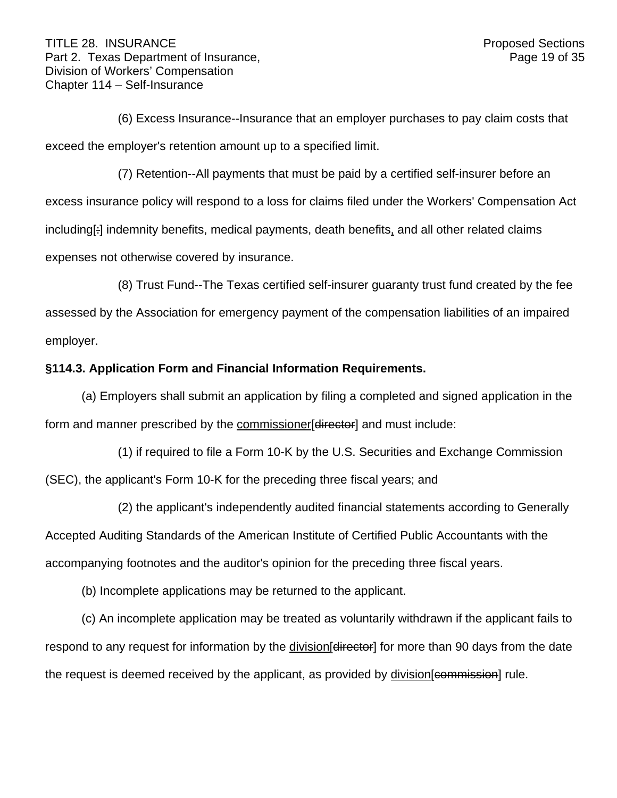(6) Excess Insurance--Insurance that an employer purchases to pay claim costs that exceed the employer's retention amount up to a specified limit.

(7) Retention--All payments that must be paid by a certified self-insurer before an excess insurance policy will respond to a loss for claims filed under the Workers' Compensation Act including[:] indemnity benefits, medical payments, death benefits, and all other related claims expenses not otherwise covered by insurance.

(8) Trust Fund--The Texas certified self-insurer guaranty trust fund created by the fee assessed by the Association for emergency payment of the compensation liabilities of an impaired employer.

## **§114.3. Application Form and Financial Information Requirements.**

(a) Employers shall submit an application by filing a completed and signed application in the form and manner prescribed by the commissioner [director] and must include:

(1) if required to file a Form 10-K by the U.S. Securities and Exchange Commission (SEC), the applicant's Form 10-K for the preceding three fiscal years; and

(2) the applicant's independently audited financial statements according to Generally Accepted Auditing Standards of the American Institute of Certified Public Accountants with the accompanying footnotes and the auditor's opinion for the preceding three fiscal years.

(b) Incomplete applications may be returned to the applicant.

(c) An incomplete application may be treated as voluntarily withdrawn if the applicant fails to respond to any request for information by the division diffector for more than 90 days from the date the request is deemed received by the applicant, as provided by division [commission] rule.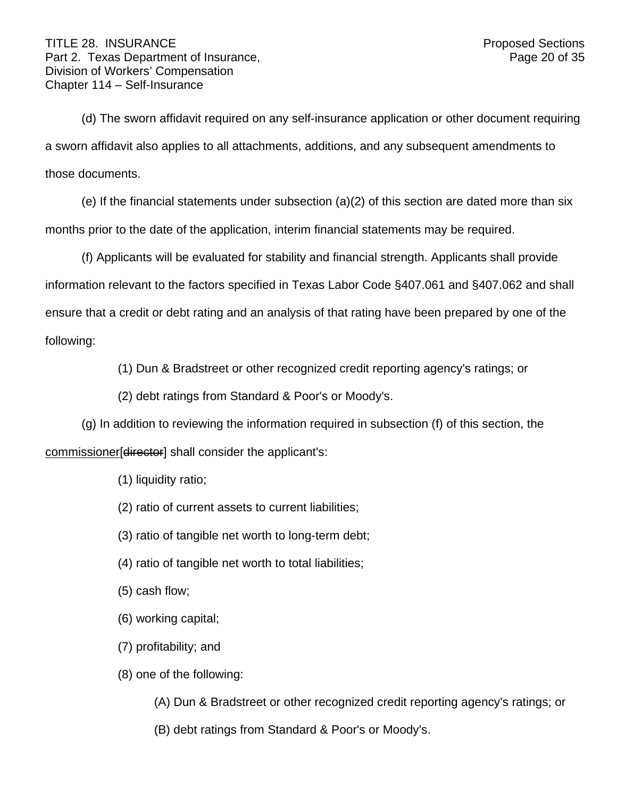(d) The sworn affidavit required on any self-insurance application or other document requiring a sworn affidavit also applies to all attachments, additions, and any subsequent amendments to those documents.

(e) If the financial statements under subsection  $(a)(2)$  of this section are dated more than six months prior to the date of the application, interim financial statements may be required.

(f) Applicants will be evaluated for stability and financial strength. Applicants shall provide information relevant to the factors specified in Texas Labor Code §407.061 and §407.062 and shall ensure that a credit or debt rating and an analysis of that rating have been prepared by one of the following:

(1) Dun & Bradstreet or other recognized credit reporting agency's ratings; or

(2) debt ratings from Standard & Poor's or Moody's.

(g) In addition to reviewing the information required in subsection (f) of this section, the commissioner[director] shall consider the applicant's:

- (1) liquidity ratio;
- (2) ratio of current assets to current liabilities;
- (3) ratio of tangible net worth to long-term debt;
- (4) ratio of tangible net worth to total liabilities;
- (5) cash flow;
- (6) working capital;
- (7) profitability; and
- (8) one of the following:
	- (A) Dun & Bradstreet or other recognized credit reporting agency's ratings; or
	- (B) debt ratings from Standard & Poor's or Moody's.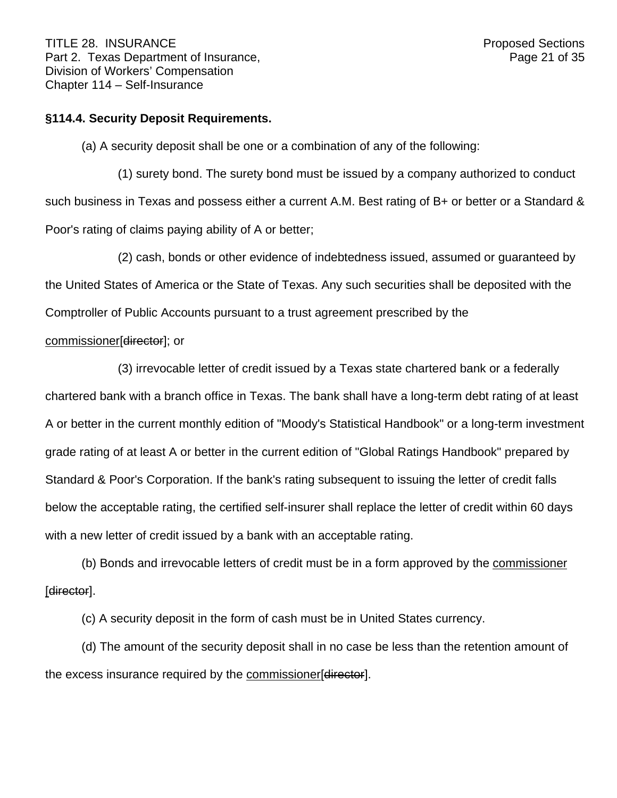## **§114.4. Security Deposit Requirements.**

(a) A security deposit shall be one or a combination of any of the following:

(1) surety bond. The surety bond must be issued by a company authorized to conduct such business in Texas and possess either a current A.M. Best rating of B+ or better or a Standard & Poor's rating of claims paying ability of A or better;

(2) cash, bonds or other evidence of indebtedness issued, assumed or guaranteed by the United States of America or the State of Texas. Any such securities shall be deposited with the Comptroller of Public Accounts pursuant to a trust agreement prescribed by the

# commissioner[director]; or

(3) irrevocable letter of credit issued by a Texas state chartered bank or a federally chartered bank with a branch office in Texas. The bank shall have a long-term debt rating of at least A or better in the current monthly edition of "Moody's Statistical Handbook" or a long-term investment grade rating of at least A or better in the current edition of "Global Ratings Handbook" prepared by Standard & Poor's Corporation. If the bank's rating subsequent to issuing the letter of credit falls below the acceptable rating, the certified self-insurer shall replace the letter of credit within 60 days with a new letter of credit issued by a bank with an acceptable rating.

(b) Bonds and irrevocable letters of credit must be in a form approved by the commissioner [director].

(c) A security deposit in the form of cash must be in United States currency.

(d) The amount of the security deposit shall in no case be less than the retention amount of the excess insurance required by the commissioner [director].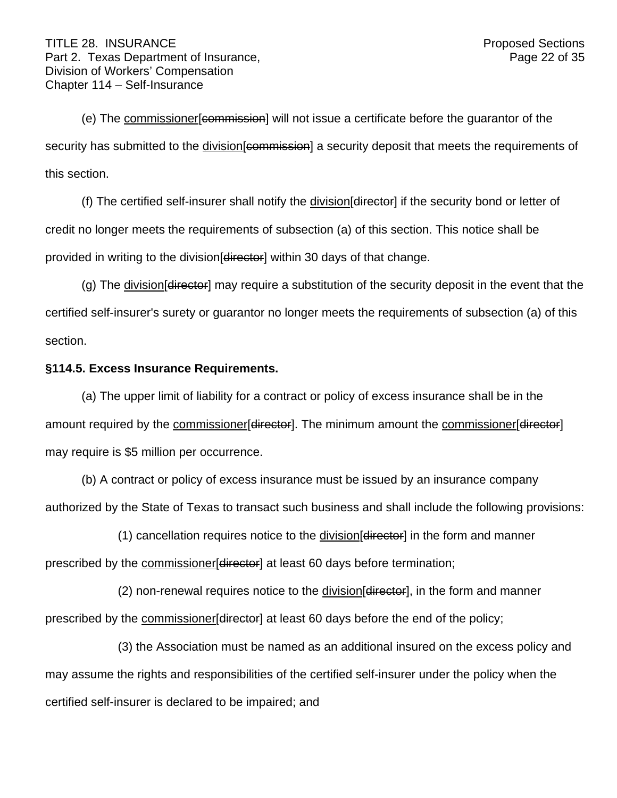(e) The commissioner[commission] will not issue a certificate before the guarantor of the security has submitted to the division [commission] a security deposit that meets the requirements of this section.

(f) The certified self-insurer shall notify the division[director] if the security bond or letter of credit no longer meets the requirements of subsection (a) of this section. This notice shall be provided in writing to the division [director] within 30 days of that change.

(g) The division  $\left[\frac{d}{dt}\right]$  may require a substitution of the security deposit in the event that the certified self-insurer's surety or guarantor no longer meets the requirements of subsection (a) of this section.

## **§114.5. Excess Insurance Requirements.**

(a) The upper limit of liability for a contract or policy of excess insurance shall be in the amount required by the commissioner [director]. The minimum amount the commissioner [director] may require is \$5 million per occurrence.

(b) A contract or policy of excess insurance must be issued by an insurance company authorized by the State of Texas to transact such business and shall include the following provisions:

(1) cancellation requires notice to the division[director] in the form and manner prescribed by the commissioner [director] at least 60 days before termination;

(2) non-renewal requires notice to the division[director], in the form and manner prescribed by the commissioner [director] at least 60 days before the end of the policy;

(3) the Association must be named as an additional insured on the excess policy and may assume the rights and responsibilities of the certified self-insurer under the policy when the certified self-insurer is declared to be impaired; and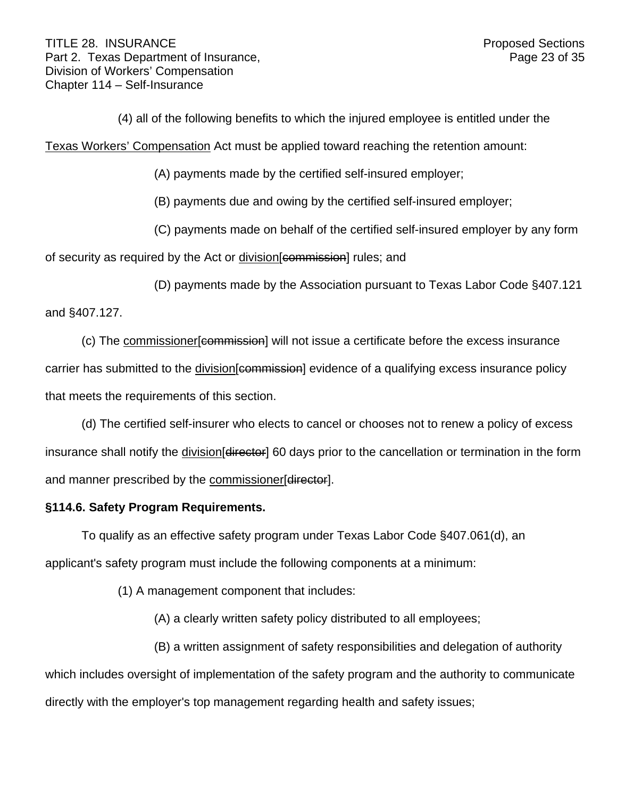(4) all of the following benefits to which the injured employee is entitled under the

Texas Workers' Compensation Act must be applied toward reaching the retention amount:

(A) payments made by the certified self-insured employer;

(B) payments due and owing by the certified self-insured employer;

(C) payments made on behalf of the certified self-insured employer by any form

of security as required by the Act or division [commission] rules; and

(D) payments made by the Association pursuant to Texas Labor Code §407.121

and §407.127.

(c) The commissioner[commission] will not issue a certificate before the excess insurance carrier has submitted to the division [commission] evidence of a qualifying excess insurance policy that meets the requirements of this section.

(d) The certified self-insurer who elects to cancel or chooses not to renew a policy of excess insurance shall notify the division [directer] 60 days prior to the cancellation or termination in the form and manner prescribed by the commissioner[director].

## **§114.6. Safety Program Requirements.**

To qualify as an effective safety program under Texas Labor Code §407.061(d), an applicant's safety program must include the following components at a minimum:

(1) A management component that includes:

(A) a clearly written safety policy distributed to all employees;

(B) a written assignment of safety responsibilities and delegation of authority

which includes oversight of implementation of the safety program and the authority to communicate directly with the employer's top management regarding health and safety issues;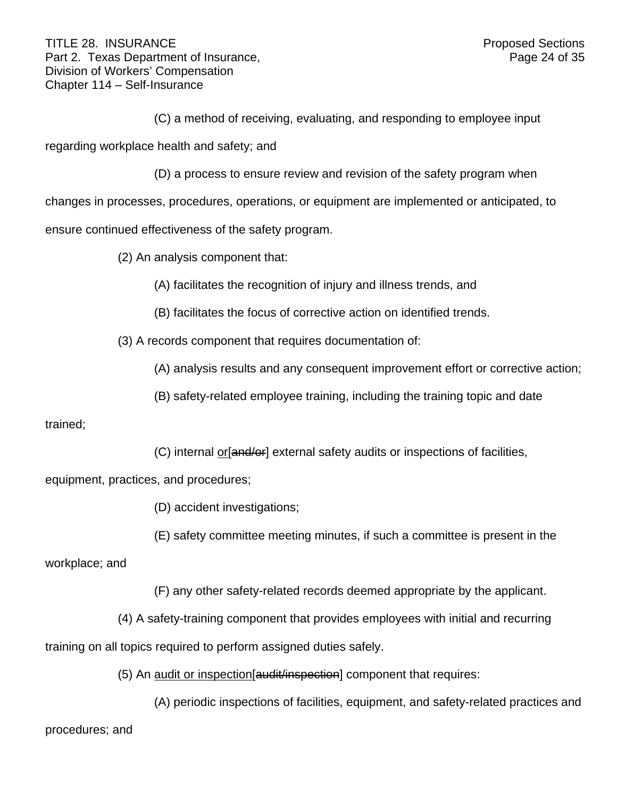(C) a method of receiving, evaluating, and responding to employee input

regarding workplace health and safety; and

(D) a process to ensure review and revision of the safety program when

changes in processes, procedures, operations, or equipment are implemented or anticipated, to

ensure continued effectiveness of the safety program.

(2) An analysis component that:

(A) facilitates the recognition of injury and illness trends, and

(B) facilitates the focus of corrective action on identified trends.

(3) A records component that requires documentation of:

(A) analysis results and any consequent improvement effort or corrective action;

(B) safety-related employee training, including the training topic and date

## trained;

(C) internal or[and/or] external safety audits or inspections of facilities,

equipment, practices, and procedures;

(D) accident investigations;

(E) safety committee meeting minutes, if such a committee is present in the

workplace; and

(F) any other safety-related records deemed appropriate by the applicant.

(4) A safety-training component that provides employees with initial and recurring

training on all topics required to perform assigned duties safely.

(5) An audit or inspection[audit/inspection] component that requires:

(A) periodic inspections of facilities, equipment, and safety-related practices and

procedures; and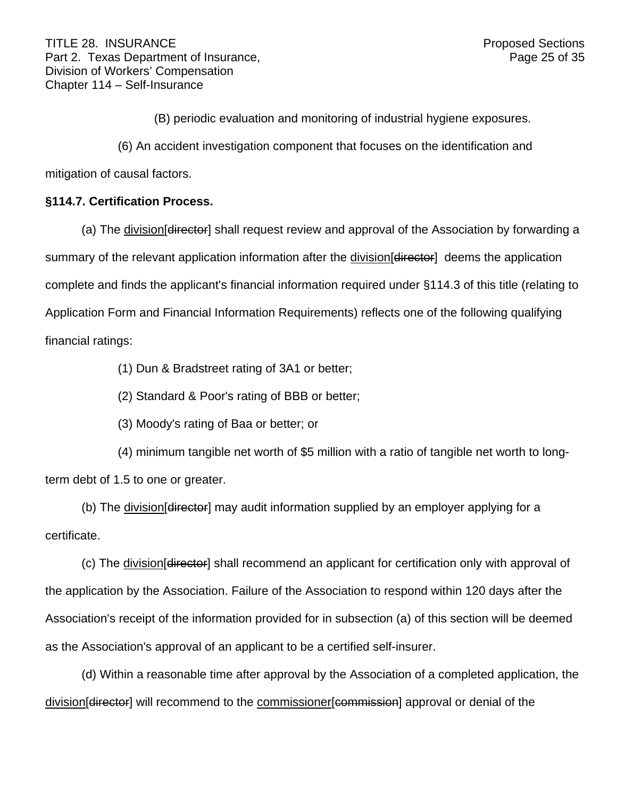(B) periodic evaluation and monitoring of industrial hygiene exposures.

(6) An accident investigation component that focuses on the identification and

mitigation of causal factors.

## **§114.7. Certification Process.**

(a) The division [director] shall request review and approval of the Association by forwarding a summary of the relevant application information after the division differetor deems the application complete and finds the applicant's financial information required under §114.3 of this title (relating to Application Form and Financial Information Requirements) reflects one of the following qualifying financial ratings:

(1) Dun & Bradstreet rating of 3A1 or better;

(2) Standard & Poor's rating of BBB or better;

(3) Moody's rating of Baa or better; or

(4) minimum tangible net worth of \$5 million with a ratio of tangible net worth to longterm debt of 1.5 to one or greater.

(b) The division [director] may audit information supplied by an employer applying for a certificate.

(c) The division[director] shall recommend an applicant for certification only with approval of the application by the Association. Failure of the Association to respond within 120 days after the Association's receipt of the information provided for in subsection (a) of this section will be deemed as the Association's approval of an applicant to be a certified self-insurer.

(d) Within a reasonable time after approval by the Association of a completed application, the division[director] will recommend to the commissioner[commission] approval or denial of the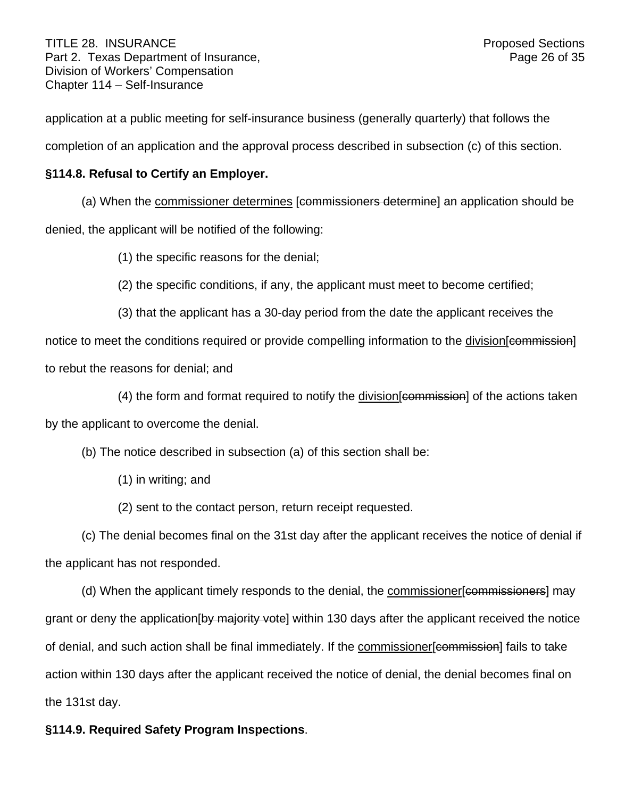application at a public meeting for self-insurance business (generally quarterly) that follows the completion of an application and the approval process described in subsection (c) of this section.

# **§114.8. Refusal to Certify an Employer.**

(a) When the commissioner determines [commissioners determine] an application should be

denied, the applicant will be notified of the following:

(1) the specific reasons for the denial;

- (2) the specific conditions, if any, the applicant must meet to become certified;
- (3) that the applicant has a 30-day period from the date the applicant receives the

notice to meet the conditions required or provide compelling information to the division [commission] to rebut the reasons for denial; and

(4) the form and format required to notify the division[commission] of the actions taken

by the applicant to overcome the denial.

(b) The notice described in subsection (a) of this section shall be:

- (1) in writing; and
- (2) sent to the contact person, return receipt requested.

(c) The denial becomes final on the 31st day after the applicant receives the notice of denial if the applicant has not responded.

(d) When the applicant timely responds to the denial, the commissioner[commissioners] may grant or deny the application by majority votel within 130 days after the applicant received the notice of denial, and such action shall be final immediately. If the commissioner [commission] fails to take action within 130 days after the applicant received the notice of denial, the denial becomes final on the 131st day.

## **§114.9. Required Safety Program Inspections**.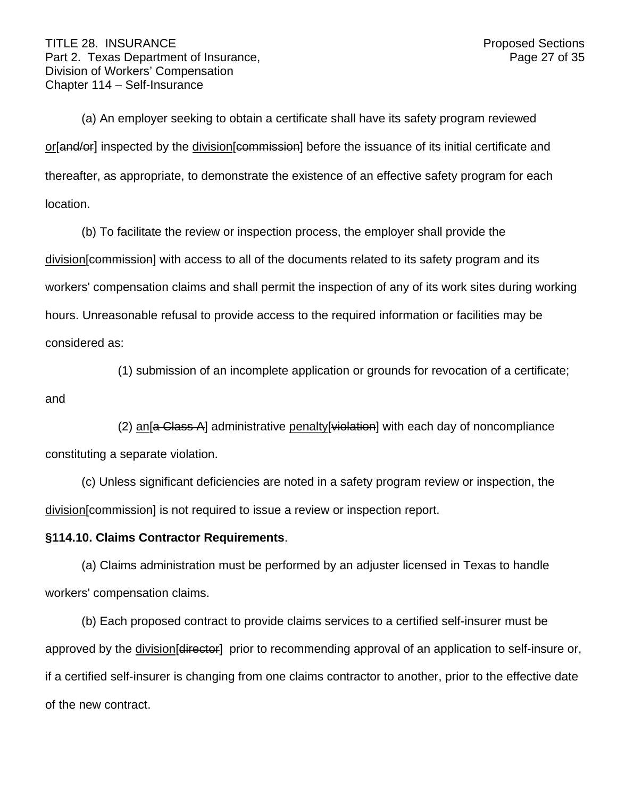(a) An employer seeking to obtain a certificate shall have its safety program reviewed or[and/or] inspected by the division[commission] before the issuance of its initial certificate and thereafter, as appropriate, to demonstrate the existence of an effective safety program for each location.

(b) To facilitate the review or inspection process, the employer shall provide the division [commission] with access to all of the documents related to its safety program and its workers' compensation claims and shall permit the inspection of any of its work sites during working hours. Unreasonable refusal to provide access to the required information or facilities may be considered as:

(1) submission of an incomplete application or grounds for revocation of a certificate;

and

(2) an<sup>[a</sup> Class A] administrative penalty<sup>[</sup>violation] with each day of noncompliance constituting a separate violation.

(c) Unless significant deficiencies are noted in a safety program review or inspection, the division[commission] is not required to issue a review or inspection report.

## **§114.10. Claims Contractor Requirements**.

(a) Claims administration must be performed by an adjuster licensed in Texas to handle workers' compensation claims.

(b) Each proposed contract to provide claims services to a certified self-insurer must be approved by the division [director] prior to recommending approval of an application to self-insure or, if a certified self-insurer is changing from one claims contractor to another, prior to the effective date of the new contract.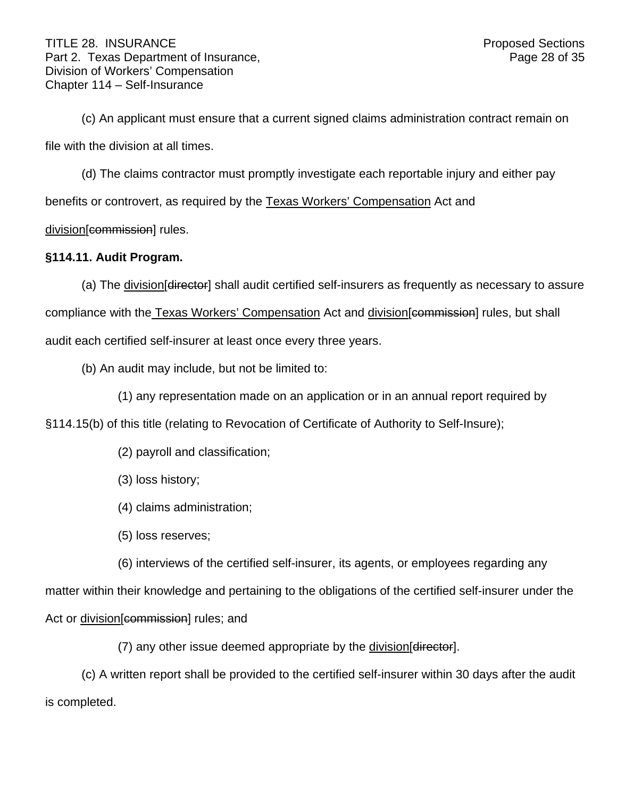(c) An applicant must ensure that a current signed claims administration contract remain on file with the division at all times.

(d) The claims contractor must promptly investigate each reportable injury and either pay benefits or controvert, as required by the Texas Workers' Compensation Act and division[commission] rules.

## **§114.11. Audit Program.**

(a) The division [director] shall audit certified self-insurers as frequently as necessary to assure compliance with the Texas Workers' Compensation Act and division [commission] rules, but shall audit each certified self-insurer at least once every three years.

(b) An audit may include, but not be limited to:

(1) any representation made on an application or in an annual report required by

§114.15(b) of this title (relating to Revocation of Certificate of Authority to Self-Insure);

(2) payroll and classification;

(3) loss history;

(4) claims administration;

(5) loss reserves;

(6) interviews of the certified self-insurer, its agents, or employees regarding any

matter within their knowledge and pertaining to the obligations of the certified self-insurer under the

Act or division[commission] rules; and

(7) any other issue deemed appropriate by the division[director].

(c) A written report shall be provided to the certified self-insurer within 30 days after the audit is completed.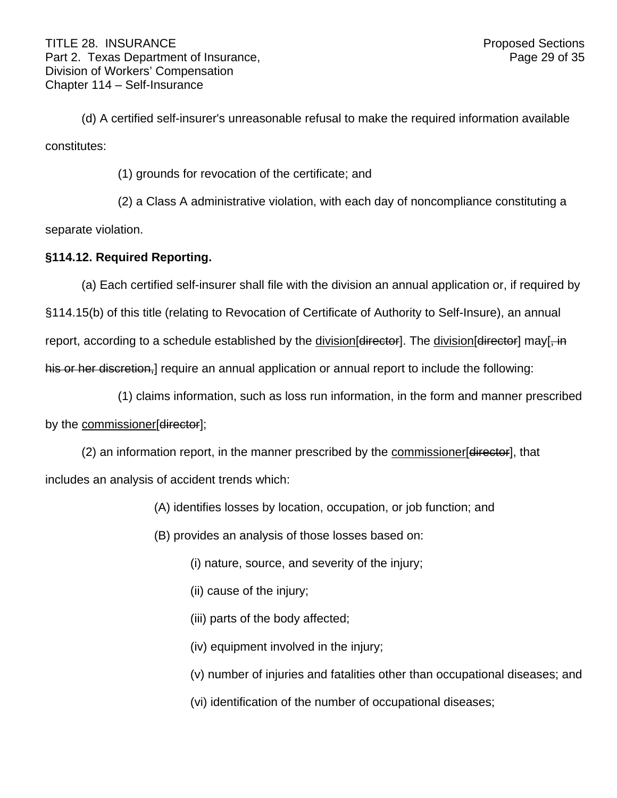(d) A certified self-insurer's unreasonable refusal to make the required information available constitutes:

(1) grounds for revocation of the certificate; and

(2) a Class A administrative violation, with each day of noncompliance constituting a

separate violation.

## **§114.12. Required Reporting.**

(a) Each certified self-insurer shall file with the division an annual application or, if required by

§114.15(b) of this title (relating to Revocation of Certificate of Authority to Self-Insure), an annual report, according to a schedule established by the division [director]. The division [director] may [, in his or her discretion, require an annual application or annual report to include the following:

(1) claims information, such as loss run information, in the form and manner prescribed by the commissioner[director];

(2) an information report, in the manner prescribed by the commissioner [director], that includes an analysis of accident trends which:

- (A) identifies losses by location, occupation, or job function; and
- (B) provides an analysis of those losses based on:
	- (i) nature, source, and severity of the injury;
	- (ii) cause of the injury;
	- (iii) parts of the body affected;
	- (iv) equipment involved in the injury;
	- (v) number of injuries and fatalities other than occupational diseases; and
	- (vi) identification of the number of occupational diseases;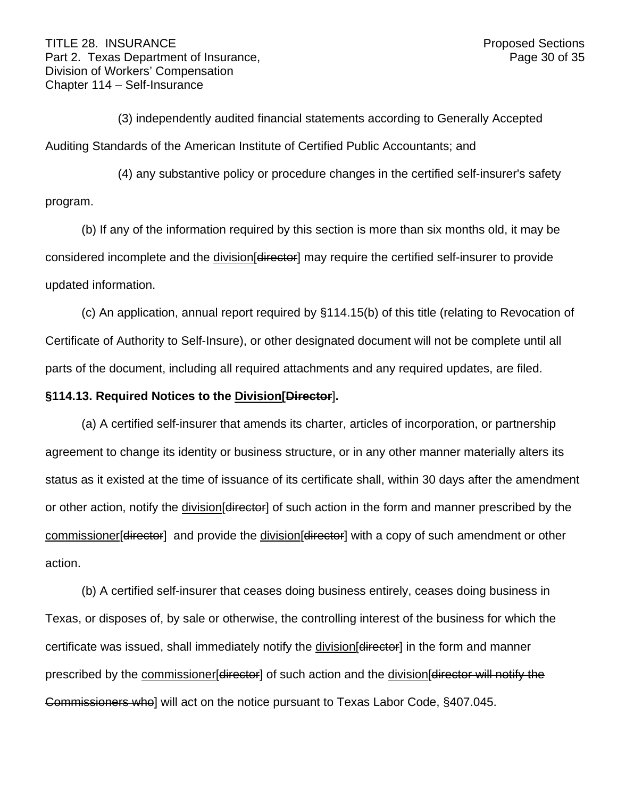(3) independently audited financial statements according to Generally Accepted Auditing Standards of the American Institute of Certified Public Accountants; and

(4) any substantive policy or procedure changes in the certified self-insurer's safety program.

(b) If any of the information required by this section is more than six months old, it may be considered incomplete and the division [director] may require the certified self-insurer to provide updated information.

(c) An application, annual report required by §114.15(b) of this title (relating to Revocation of Certificate of Authority to Self-Insure), or other designated document will not be complete until all parts of the document, including all required attachments and any required updates, are filed.

## **§114.13. Required Notices to the Division[Director**]**.**

(a) A certified self-insurer that amends its charter, articles of incorporation, or partnership agreement to change its identity or business structure, or in any other manner materially alters its status as it existed at the time of issuance of its certificate shall, within 30 days after the amendment or other action, notify the division [director] of such action in the form and manner prescribed by the commissioner [director] and provide the division [director] with a copy of such amendment or other action.

(b) A certified self-insurer that ceases doing business entirely, ceases doing business in Texas, or disposes of, by sale or otherwise, the controlling interest of the business for which the certificate was issued, shall immediately notify the division [director] in the form and manner prescribed by the commissioner [director] of such action and the division [director will notify the Commissioners who] will act on the notice pursuant to Texas Labor Code, §407.045.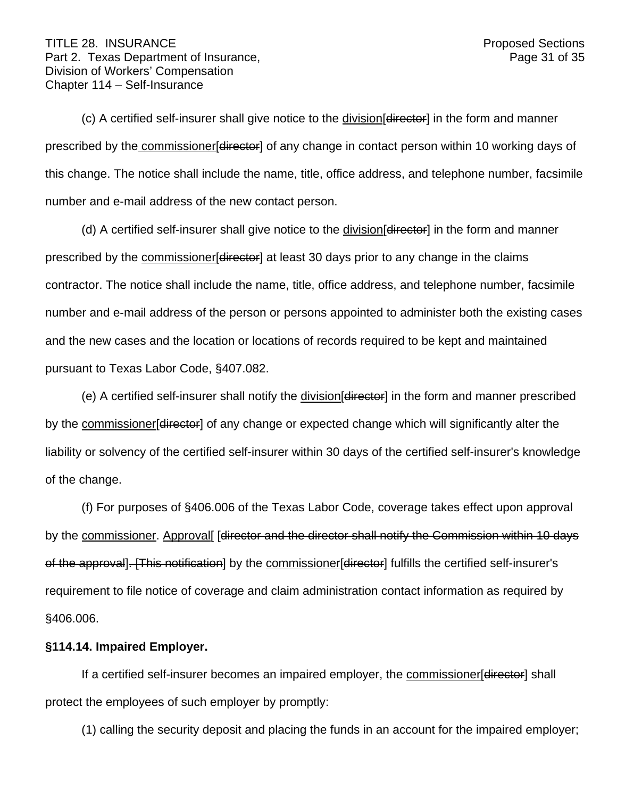(c) A certified self-insurer shall give notice to the division[director] in the form and manner prescribed by the commissioner [director] of any change in contact person within 10 working days of this change. The notice shall include the name, title, office address, and telephone number, facsimile number and e-mail address of the new contact person.

(d) A certified self-insurer shall give notice to the division [director] in the form and manner prescribed by the commissioner [director] at least 30 days prior to any change in the claims contractor. The notice shall include the name, title, office address, and telephone number, facsimile number and e-mail address of the person or persons appointed to administer both the existing cases and the new cases and the location or locations of records required to be kept and maintained pursuant to Texas Labor Code, §407.082.

(e) A certified self-insurer shall notify the division diffector in the form and manner prescribed by the commissioner [director] of any change or expected change which will significantly alter the liability or solvency of the certified self-insurer within 30 days of the certified self-insurer's knowledge of the change.

(f) For purposes of §406.006 of the Texas Labor Code, coverage takes effect upon approval by the commissioner. Approval [director and the director shall notify the Commission within 10 days of the approval]. [This notification] by the commissioner[director] fulfills the certified self-insurer's requirement to file notice of coverage and claim administration contact information as required by §406.006.

## **§114.14. Impaired Employer.**

If a certified self-insurer becomes an impaired employer, the commissioner [director] shall protect the employees of such employer by promptly:

(1) calling the security deposit and placing the funds in an account for the impaired employer;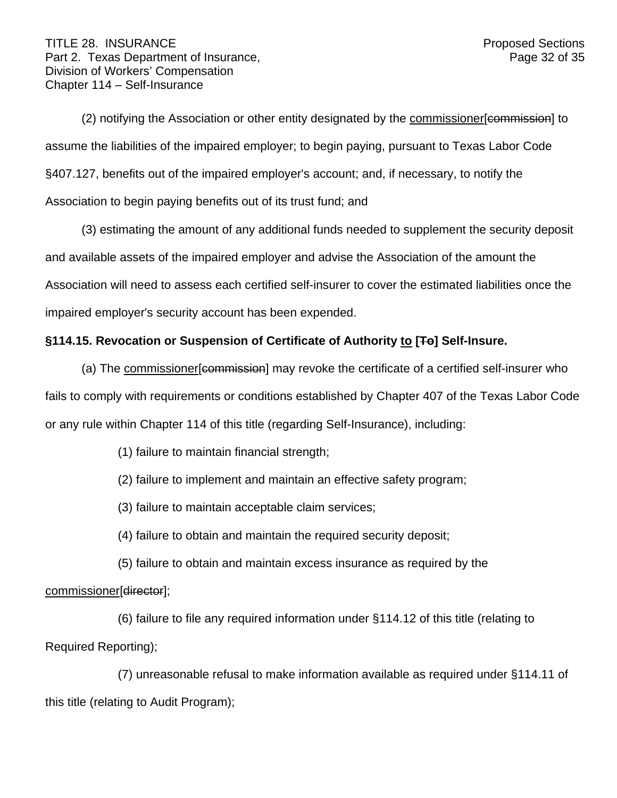(2) notifying the Association or other entity designated by the commissioner[commission] to assume the liabilities of the impaired employer; to begin paying, pursuant to Texas Labor Code §407.127, benefits out of the impaired employer's account; and, if necessary, to notify the Association to begin paying benefits out of its trust fund; and

(3) estimating the amount of any additional funds needed to supplement the security deposit and available assets of the impaired employer and advise the Association of the amount the Association will need to assess each certified self-insurer to cover the estimated liabilities once the impaired employer's security account has been expended.

# **§114.15. Revocation or Suspension of Certificate of Authority to [To] Self-Insure.**

(a) The commissioner [commission] may revoke the certificate of a certified self-insurer who

fails to comply with requirements or conditions established by Chapter 407 of the Texas Labor Code or any rule within Chapter 114 of this title (regarding Self-Insurance), including:

(1) failure to maintain financial strength;

(2) failure to implement and maintain an effective safety program;

(3) failure to maintain acceptable claim services;

(4) failure to obtain and maintain the required security deposit;

(5) failure to obtain and maintain excess insurance as required by the

commissioner[director];

(6) failure to file any required information under §114.12 of this title (relating to Required Reporting);

(7) unreasonable refusal to make information available as required under §114.11 of this title (relating to Audit Program);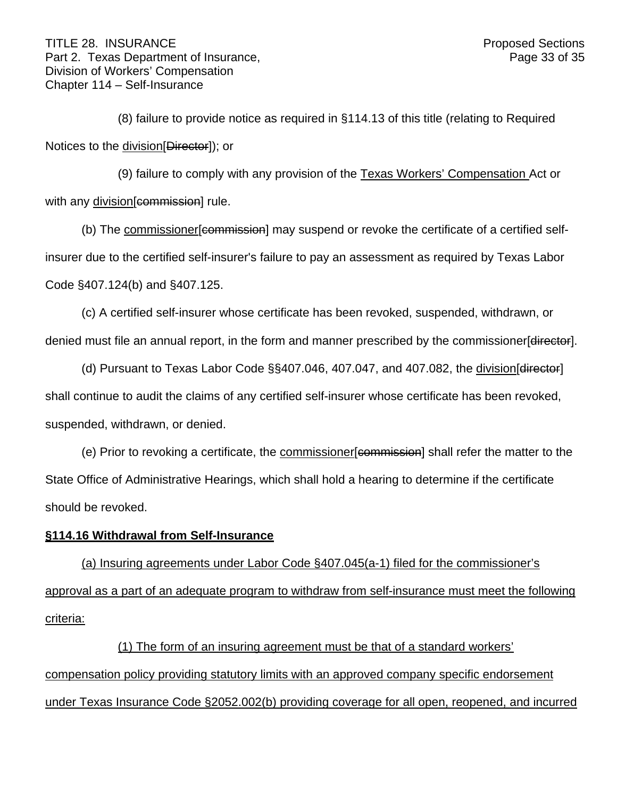(8) failure to provide notice as required in §114.13 of this title (relating to Required Notices to the division [Director]); or

(9) failure to comply with any provision of the Texas Workers' Compensation Act or with any division[commission] rule.

(b) The commissioner [commission] may suspend or revoke the certificate of a certified selfinsurer due to the certified self-insurer's failure to pay an assessment as required by Texas Labor Code §407.124(b) and §407.125.

(c) A certified self-insurer whose certificate has been revoked, suspended, withdrawn, or denied must file an annual report, in the form and manner prescribed by the commissioner[director].

(d) Pursuant to Texas Labor Code §§407.046, 407.047, and 407.082, the division[director] shall continue to audit the claims of any certified self-insurer whose certificate has been revoked, suspended, withdrawn, or denied.

(e) Prior to revoking a certificate, the commissioner eommission shall refer the matter to the State Office of Administrative Hearings, which shall hold a hearing to determine if the certificate should be revoked.

## **§114.16 Withdrawal from Self-Insurance**

(a) Insuring agreements under Labor Code §407.045(a-1) filed for the commissioner's approval as a part of an adequate program to withdraw from self-insurance must meet the following criteria:

(1) The form of an insuring agreement must be that of a standard workers' compensation policy providing statutory limits with an approved company specific endorsement under Texas Insurance Code §2052.002(b) providing coverage for all open, reopened, and incurred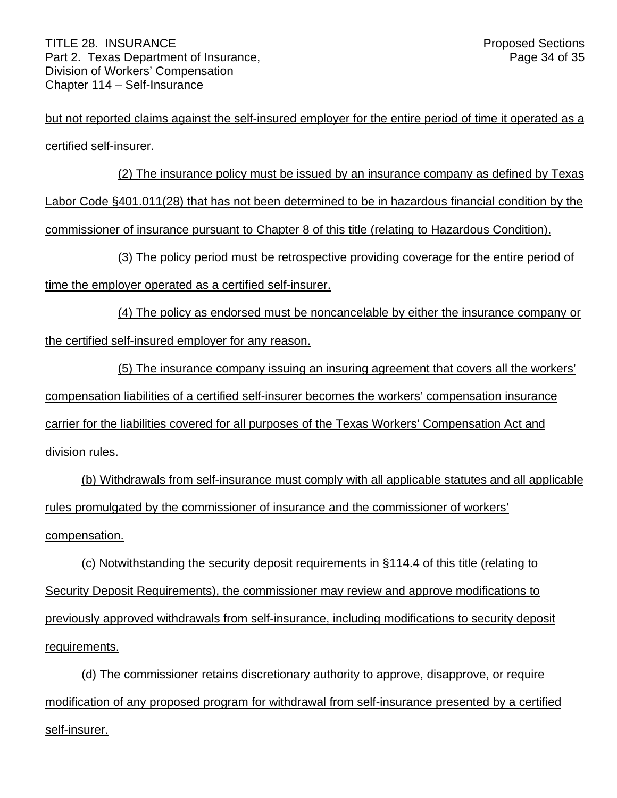but not reported claims against the self-insured employer for the entire period of time it operated as a certified self-insurer.

(2) The insurance policy must be issued by an insurance company as defined by Texas Labor Code §401.011(28) that has not been determined to be in hazardous financial condition by the commissioner of insurance pursuant to Chapter 8 of this title (relating to Hazardous Condition).

(3) The policy period must be retrospective providing coverage for the entire period of

time the employer operated as a certified self-insurer.

(4) The policy as endorsed must be noncancelable by either the insurance company or the certified self-insured employer for any reason.

(5) The insurance company issuing an insuring agreement that covers all the workers' compensation liabilities of a certified self-insurer becomes the workers' compensation insurance carrier for the liabilities covered for all purposes of the Texas Workers' Compensation Act and division rules.

(b) Withdrawals from self-insurance must comply with all applicable statutes and all applicable rules promulgated by the commissioner of insurance and the commissioner of workers' compensation.

(c) Notwithstanding the security deposit requirements in §114.4 of this title (relating to Security Deposit Requirements), the commissioner may review and approve modifications to previously approved withdrawals from self-insurance, including modifications to security deposit requirements.

(d) The commissioner retains discretionary authority to approve, disapprove, or require modification of any proposed program for withdrawal from self-insurance presented by a certified self-insurer.